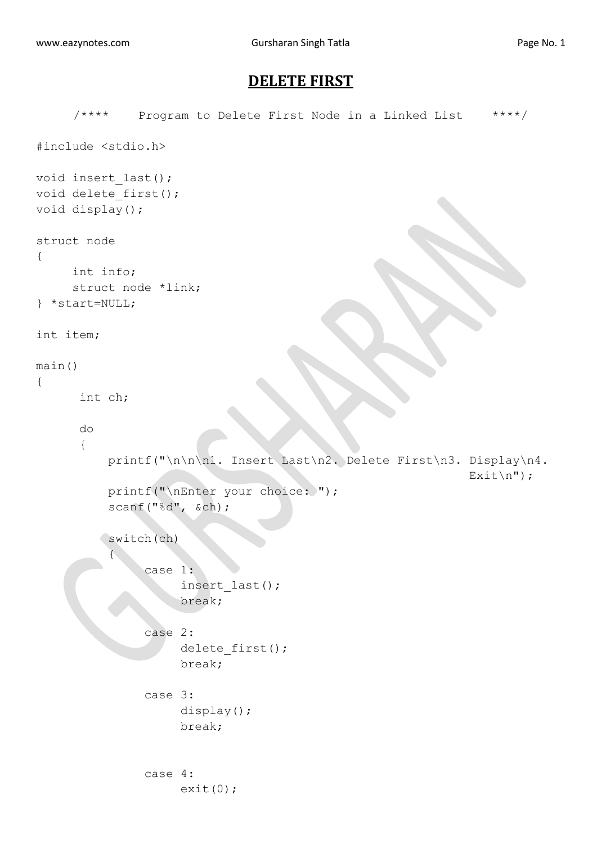## **DELETE FIRST**

```
/**** Program to Delete First Node in a Linked List ****/
#include <stdio.h>
void insert_last();
void delete first();
void display();
struct node
{
     int info;
     struct node *link;
} *start=NULL;
int item;
main()
{
       int ch;
       do
       {
           printf("\n\n\n1. Insert Last\n2. Delete First\n3. Display\n4.
                                                              Exit\";
          printf("\nEnter your choice: ");
           scanf("%d", &ch);
          switch(ch)
 {
                case 1:
                     insert_last();
                     break;
                case 2:
                    delete first();
                    break;
                case 3:
                     display();
                     break;
               case 4:
                    exit(0);
```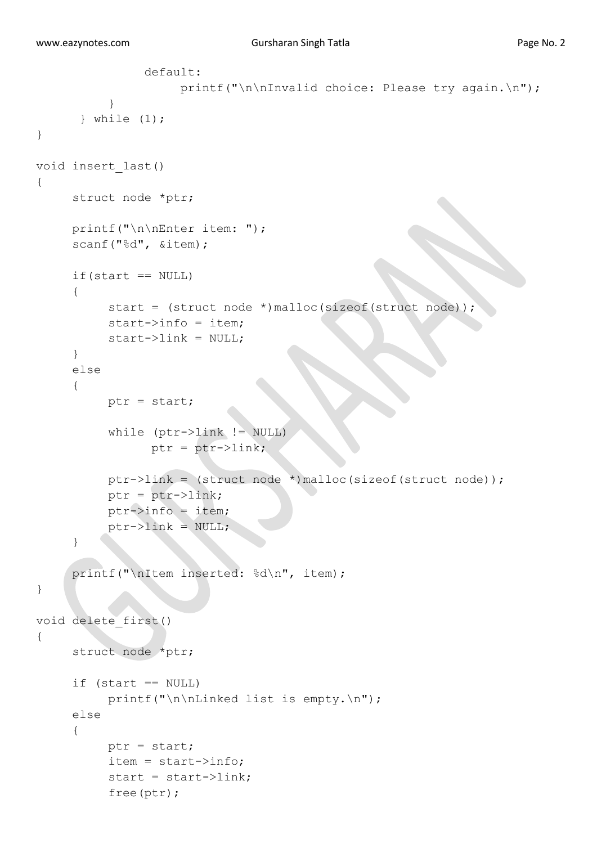```
 default:
                    printf("\n\nInvalid choice: Please try again.\n");
 }
       } while (1);
}
void insert_last()
{
     struct node *ptr;
     printf("\n\nEnter item: ");
     scanf("%d", &item);
     if(start == NULL){
          start = (struct node *)malloc(sizeof(struct node));
          start->info = item;
          start->link = NULL;
     }
     else
     {
          ptr = start;
           while (ptr->link != NULL)
                 ptr = ptr->link;
           ptr->link = (struct node *)malloc(sizeof(struct node));
           ptr = ptr->link;
          ptr->info = item;
          ptr->link = NULL;}
     printf("\nItem inserted: %d\n", item);
}
void delete_first()
{
      struct node *ptr;
     if (s\tan t == NULL)printf("\n\nLinked list is empty.\n");
      else
      {
           ptr = start;
           item = start->info;
           start = start->link;
           free(ptr);
```